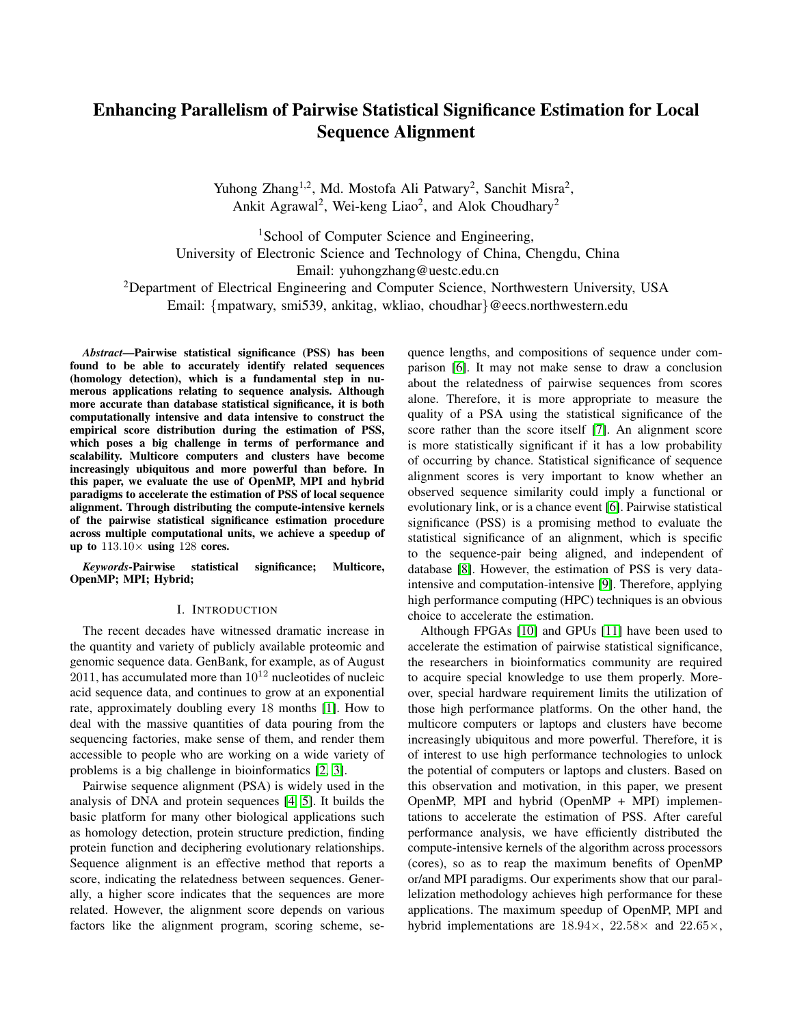# Enhancing Parallelism of Pairwise Statistical Significance Estimation for Local Sequence Alignment

Yuhong Zhang<sup>1,2</sup>, Md. Mostofa Ali Patwary<sup>2</sup>, Sanchit Misra<sup>2</sup>, Ankit Agrawal<sup>2</sup>, Wei-keng Liao<sup>2</sup>, and Alok Choudhary<sup>2</sup>

<sup>1</sup>School of Computer Science and Engineering, University of Electronic Science and Technology of China, Chengdu, China Email: yuhongzhang@uestc.edu.cn <sup>2</sup>Department of Electrical Engineering and Computer Science, Northwestern University, USA Email: {mpatwary, smi539, ankitag, wkliao, choudhar}@eecs.northwestern.edu

*Abstract*—Pairwise statistical significance (PSS) has been found to be able to accurately identify related sequences (homology detection), which is a fundamental step in numerous applications relating to sequence analysis. Although more accurate than database statistical significance, it is both computationally intensive and data intensive to construct the empirical score distribution during the estimation of PSS, which poses a big challenge in terms of performance and scalability. Multicore computers and clusters have become increasingly ubiquitous and more powerful than before. In this paper, we evaluate the use of OpenMP, MPI and hybrid paradigms to accelerate the estimation of PSS of local sequence alignment. Through distributing the compute-intensive kernels of the pairwise statistical significance estimation procedure across multiple computational units, we achieve a speedup of up to  $113.10\times$  using 128 cores.

*Keywords*-Pairwise statistical significance; Multicore, OpenMP; MPI; Hybrid;

#### I. INTRODUCTION

The recent decades have witnessed dramatic increase in the quantity and variety of publicly available proteomic and genomic sequence data. GenBank, for example, as of August  $2011$ , has accumulated more than  $10^{12}$  nucleotides of nucleic acid sequence data, and continues to grow at an exponential rate, approximately doubling every 18 months [\[1\]](#page-6-0). How to deal with the massive quantities of data pouring from the sequencing factories, make sense of them, and render them accessible to people who are working on a wide variety of problems is a big challenge in bioinformatics [\[2,](#page-6-1) [3\]](#page-6-2).

Pairwise sequence alignment (PSA) is widely used in the analysis of DNA and protein sequences [\[4,](#page-6-3) [5\]](#page-6-4). It builds the basic platform for many other biological applications such as homology detection, protein structure prediction, finding protein function and deciphering evolutionary relationships. Sequence alignment is an effective method that reports a score, indicating the relatedness between sequences. Generally, a higher score indicates that the sequences are more related. However, the alignment score depends on various factors like the alignment program, scoring scheme, sequence lengths, and compositions of sequence under comparison [\[6\]](#page-6-5). It may not make sense to draw a conclusion about the relatedness of pairwise sequences from scores alone. Therefore, it is more appropriate to measure the quality of a PSA using the statistical significance of the score rather than the score itself [\[7\]](#page-6-6). An alignment score is more statistically significant if it has a low probability of occurring by chance. Statistical significance of sequence alignment scores is very important to know whether an observed sequence similarity could imply a functional or evolutionary link, or is a chance event [\[6\]](#page-6-5). Pairwise statistical significance (PSS) is a promising method to evaluate the statistical significance of an alignment, which is specific to the sequence-pair being aligned, and independent of database [\[8\]](#page-6-7). However, the estimation of PSS is very dataintensive and computation-intensive [\[9\]](#page-6-8). Therefore, applying high performance computing (HPC) techniques is an obvious choice to accelerate the estimation.

Although FPGAs [\[10\]](#page-6-9) and GPUs [\[11\]](#page-6-10) have been used to accelerate the estimation of pairwise statistical significance, the researchers in bioinformatics community are required to acquire special knowledge to use them properly. Moreover, special hardware requirement limits the utilization of those high performance platforms. On the other hand, the multicore computers or laptops and clusters have become increasingly ubiquitous and more powerful. Therefore, it is of interest to use high performance technologies to unlock the potential of computers or laptops and clusters. Based on this observation and motivation, in this paper, we present OpenMP, MPI and hybrid (OpenMP + MPI) implementations to accelerate the estimation of PSS. After careful performance analysis, we have efficiently distributed the compute-intensive kernels of the algorithm across processors (cores), so as to reap the maximum benefits of OpenMP or/and MPI paradigms. Our experiments show that our parallelization methodology achieves high performance for these applications. The maximum speedup of OpenMP, MPI and hybrid implementations are 18.94×, 22.58× and 22.65×,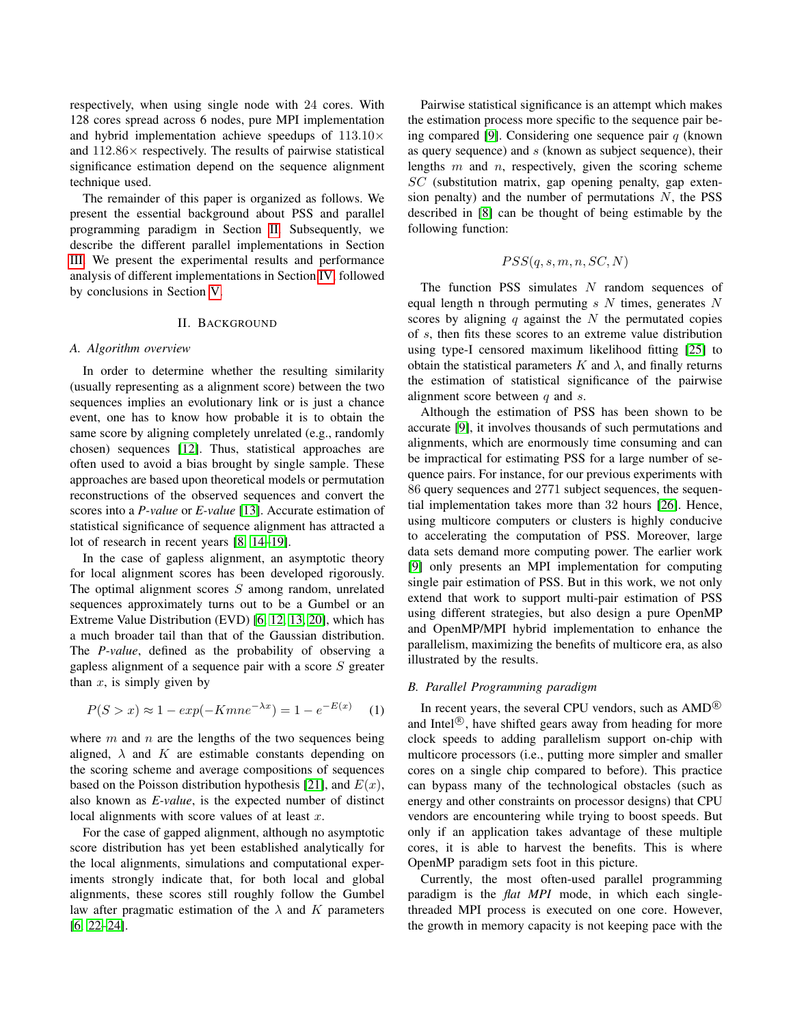respectively, when using single node with 24 cores. With 128 cores spread across 6 nodes, pure MPI implementation and hybrid implementation achieve speedups of  $113.10\times$ and  $112.86\times$  respectively. The results of pairwise statistical significance estimation depend on the sequence alignment technique used.

The remainder of this paper is organized as follows. We present the essential background about PSS and parallel programming paradigm in Section [II.](#page-1-0) Subsequently, we describe the different parallel implementations in Section [III.](#page-2-0) We present the experimental results and performance analysis of different implementations in Section [IV,](#page-3-0) followed by conclusions in Section [V.](#page-6-11)

#### II. BACKGROUND

## <span id="page-1-0"></span>*A. Algorithm overview*

In order to determine whether the resulting similarity (usually representing as a alignment score) between the two sequences implies an evolutionary link or is just a chance event, one has to know how probable it is to obtain the same score by aligning completely unrelated (e.g., randomly chosen) sequences [\[12\]](#page-6-12). Thus, statistical approaches are often used to avoid a bias brought by single sample. These approaches are based upon theoretical models or permutation reconstructions of the observed sequences and convert the scores into a *P-value* or *E-value* [\[13\]](#page-6-13). Accurate estimation of statistical significance of sequence alignment has attracted a lot of research in recent years [\[8,](#page-6-7) [14](#page-6-14)[–19\]](#page-7-0).

In the case of gapless alignment, an asymptotic theory for local alignment scores has been developed rigorously. The optimal alignment scores  $S$  among random, unrelated sequences approximately turns out to be a Gumbel or an Extreme Value Distribution (EVD) [\[6,](#page-6-5) [12,](#page-6-12) [13,](#page-6-13) [20\]](#page-7-1), which has a much broader tail than that of the Gaussian distribution. The *P-value*, defined as the probability of observing a gapless alignment of a sequence pair with a score  $S$  greater than  $x$ , is simply given by

<span id="page-1-1"></span>
$$
P(S > x) \approx 1 - exp(-Kmne^{-\lambda x}) = 1 - e^{-E(x)} \tag{1}
$$

where  $m$  and  $n$  are the lengths of the two sequences being aligned,  $\lambda$  and K are estimable constants depending on the scoring scheme and average compositions of sequences based on the Poisson distribution hypothesis [\[21\]](#page-7-2), and  $E(x)$ , also known as *E-value*, is the expected number of distinct local alignments with score values of at least  $x$ .

For the case of gapped alignment, although no asymptotic score distribution has yet been established analytically for the local alignments, simulations and computational experiments strongly indicate that, for both local and global alignments, these scores still roughly follow the Gumbel law after pragmatic estimation of the  $\lambda$  and K parameters [\[6,](#page-6-5) [22](#page-7-3)[–24\]](#page-7-4).

Pairwise statistical significance is an attempt which makes the estimation process more specific to the sequence pair be-ing compared [\[9\]](#page-6-8). Considering one sequence pair  $q$  (known as query sequence) and  $s$  (known as subject sequence), their lengths  $m$  and  $n$ , respectively, given the scoring scheme  $SC$  (substitution matrix, gap opening penalty, gap extension penalty) and the number of permutations  $N$ , the PSS described in [\[8\]](#page-6-7) can be thought of being estimable by the following function:

$$
PSS(q, s, m, n, SC, N)
$$

The function PSS simulates  $N$  random sequences of equal length n through permuting  $s$  N times, generates N scores by aligning  $q$  against the  $N$  the permutated copies of s, then fits these scores to an extreme value distribution using type-I censored maximum likelihood fitting [\[25\]](#page-7-5) to obtain the statistical parameters  $K$  and  $\lambda$ , and finally returns the estimation of statistical significance of the pairwise alignment score between  $q$  and  $s$ .

Although the estimation of PSS has been shown to be accurate [\[9\]](#page-6-8), it involves thousands of such permutations and alignments, which are enormously time consuming and can be impractical for estimating PSS for a large number of sequence pairs. For instance, for our previous experiments with 86 query sequences and 2771 subject sequences, the sequential implementation takes more than 32 hours [\[26\]](#page-7-6). Hence, using multicore computers or clusters is highly conducive to accelerating the computation of PSS. Moreover, large data sets demand more computing power. The earlier work [\[9\]](#page-6-8) only presents an MPI implementation for computing single pair estimation of PSS. But in this work, we not only extend that work to support multi-pair estimation of PSS using different strategies, but also design a pure OpenMP and OpenMP/MPI hybrid implementation to enhance the parallelism, maximizing the benefits of multicore era, as also illustrated by the results.

## *B. Parallel Programming paradigm*

In recent years, the several CPU vendors, such as  $\text{AMD}^{\circledR}$ and Intel $\mathbb{R}$ , have shifted gears away from heading for more clock speeds to adding parallelism support on-chip with multicore processors (i.e., putting more simpler and smaller cores on a single chip compared to before). This practice can bypass many of the technological obstacles (such as energy and other constraints on processor designs) that CPU vendors are encountering while trying to boost speeds. But only if an application takes advantage of these multiple cores, it is able to harvest the benefits. This is where OpenMP paradigm sets foot in this picture.

Currently, the most often-used parallel programming paradigm is the *flat MPI* mode, in which each singlethreaded MPI process is executed on one core. However, the growth in memory capacity is not keeping pace with the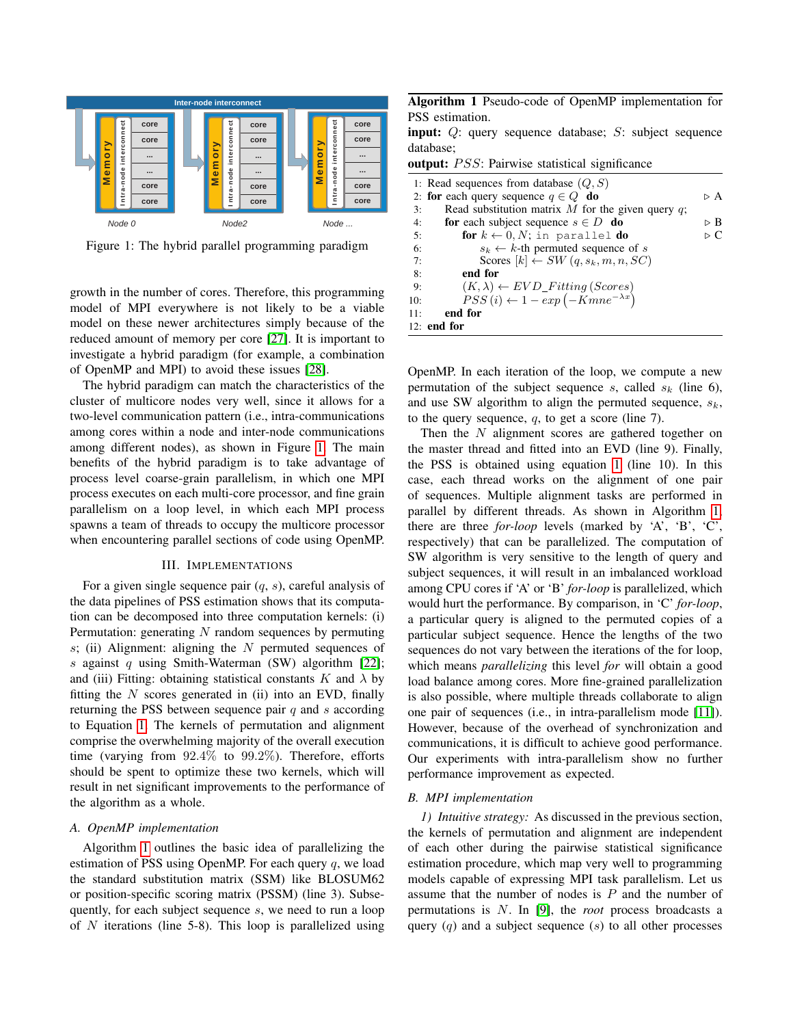<span id="page-2-1"></span>

Figure 1: The hybrid parallel programming paradigm

growth in the number of cores. Therefore, this programming model of MPI everywhere is not likely to be a viable model on these newer architectures simply because of the reduced amount of memory per core [\[27\]](#page-7-7). It is important to investigate a hybrid paradigm (for example, a combination of OpenMP and MPI) to avoid these issues [\[28\]](#page-7-8).

The hybrid paradigm can match the characteristics of the cluster of multicore nodes very well, since it allows for a two-level communication pattern (i.e., intra-communications among cores within a node and inter-node communications among different nodes), as shown in Figure [1.](#page-2-1) The main benefits of the hybrid paradigm is to take advantage of process level coarse-grain parallelism, in which one MPI process executes on each multi-core processor, and fine grain parallelism on a loop level, in which each MPI process spawns a team of threads to occupy the multicore processor when encountering parallel sections of code using OpenMP.

## III. IMPLEMENTATIONS

<span id="page-2-0"></span>For a given single sequence pair  $(q, s)$ , careful analysis of the data pipelines of PSS estimation shows that its computation can be decomposed into three computation kernels: (i) Permutation: generating  *random sequences by permuting*  $s$ ; (ii) Alignment: aligning the  $N$  permuted sequences of s against  $q$  using Smith-Waterman (SW) algorithm [\[22\]](#page-7-3); and (iii) Fitting: obtaining statistical constants K and  $\lambda$  by fitting the  $N$  scores generated in (ii) into an EVD, finally returning the PSS between sequence pair  $q$  and  $s$  according to Equation [1.](#page-1-1) The kernels of permutation and alignment comprise the overwhelming majority of the overall execution time (varying from 92.4% to 99.2%). Therefore, efforts should be spent to optimize these two kernels, which will result in net significant improvements to the performance of the algorithm as a whole.

# *A. OpenMP implementation*

Algorithm [1](#page-2-2) outlines the basic idea of parallelizing the estimation of PSS using OpenMP. For each query  $q$ , we load the standard substitution matrix (SSM) like BLOSUM62 or position-specific scoring matrix (PSSM) (line 3). Subsequently, for each subject sequence  $s$ , we need to run a loop of  $N$  iterations (line 5-8). This loop is parallelized using <span id="page-2-2"></span>Algorithm 1 Pseudo-code of OpenMP implementation for PSS estimation.

**input:**  $Q$ : query sequence database;  $S$ : subject sequence database;

output:  $PSS$ : Pairwise statistical significance

|     | 1: Read sequences from database $(Q, S)$               |     |
|-----|--------------------------------------------------------|-----|
|     | 2: for each query sequence $q \in Q$ do                | ÞА  |
| 3:  | Read substitution matrix $M$ for the given query $q$ ; |     |
| 4:  | for each subject sequence $s \in D$ do                 | ⊳ B |
| 5:  | for $k \leftarrow 0, N$ ; in parallel do               | ÞС  |
| 6:  | $s_k \leftarrow k$ -th permuted sequence of s          |     |
| 7:  | Scores $[k] \leftarrow SW(q, s_k, m, n, SC)$           |     |
| 8:  | end for                                                |     |
| 9:  | $(K, \lambda) \leftarrow EVD\_Fitting(Scores)$         |     |
| 10: | $PSS(i) \leftarrow 1 - exp(-Kmne^{-\lambda x})$        |     |
| 11: | end for                                                |     |
|     | $12:$ end for                                          |     |

OpenMP. In each iteration of the loop, we compute a new permutation of the subject sequence s, called  $s_k$  (line 6), and use SW algorithm to align the permuted sequence,  $s_k$ , to the query sequence,  $q$ , to get a score (line 7).

Then the  $N$  alignment scores are gathered together on the master thread and fitted into an EVD (line 9). Finally, the PSS is obtained using equation [1](#page-1-1) (line 10). In this case, each thread works on the alignment of one pair of sequences. Multiple alignment tasks are performed in parallel by different threads. As shown in Algorithm [1,](#page-2-2) there are three *for-loop* levels (marked by 'A', 'B', 'C', respectively) that can be parallelized. The computation of SW algorithm is very sensitive to the length of query and subject sequences, it will result in an imbalanced workload among CPU cores if 'A' or 'B' *for-loop* is parallelized, which would hurt the performance. By comparison, in 'C' *for-loop*, a particular query is aligned to the permuted copies of a particular subject sequence. Hence the lengths of the two sequences do not vary between the iterations of the for loop, which means *parallelizing* this level *for* will obtain a good load balance among cores. More fine-grained parallelization is also possible, where multiple threads collaborate to align one pair of sequences (i.e., in intra-parallelism mode [\[11\]](#page-6-10)). However, because of the overhead of synchronization and communications, it is difficult to achieve good performance. Our experiments with intra-parallelism show no further performance improvement as expected.

## *B. MPI implementation*

*1) Intuitive strategy:* As discussed in the previous section, the kernels of permutation and alignment are independent of each other during the pairwise statistical significance estimation procedure, which map very well to programming models capable of expressing MPI task parallelism. Let us assume that the number of nodes is  $P$  and the number of permutations is N. In [\[9\]](#page-6-8), the *root* process broadcasts a query  $(q)$  and a subject sequence  $(s)$  to all other processes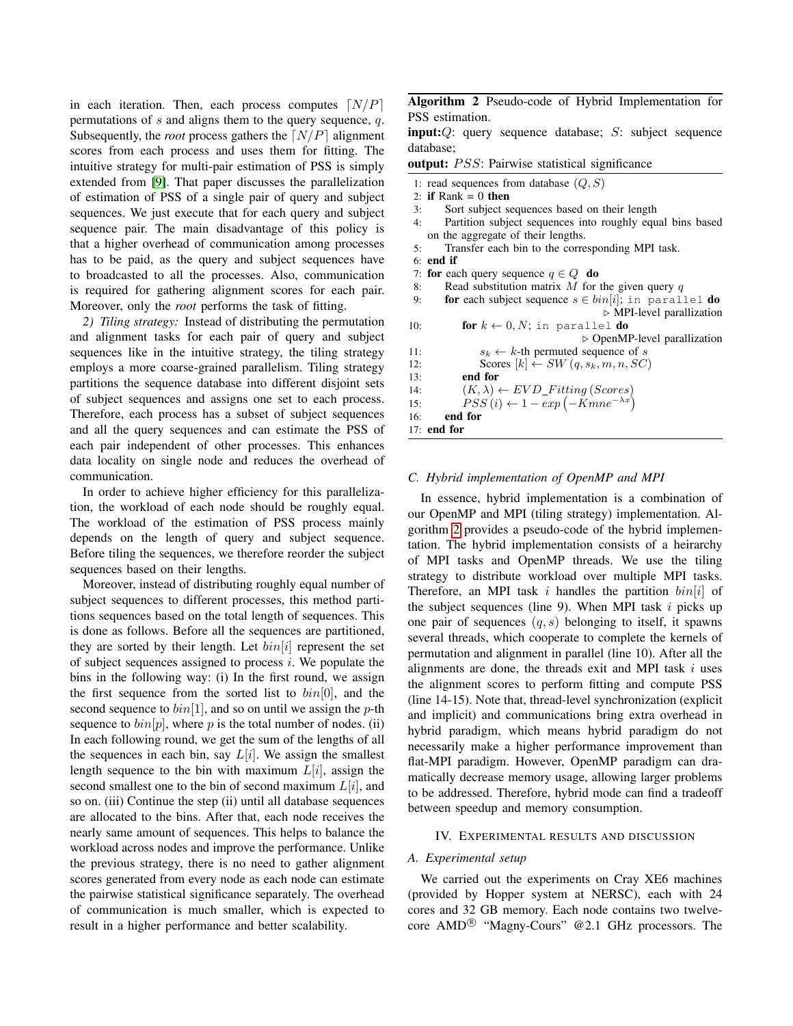in each iteration. Then, each process computes  $\lceil N/P \rceil$ permutations of  $s$  and aligns them to the query sequence,  $q$ . Subsequently, the *root* process gathers the  $\lceil N/P \rceil$  alignment scores from each process and uses them for fitting. The intuitive strategy for multi-pair estimation of PSS is simply extended from [\[9\]](#page-6-8). That paper discusses the parallelization of estimation of PSS of a single pair of query and subject sequences. We just execute that for each query and subject sequence pair. The main disadvantage of this policy is that a higher overhead of communication among processes has to be paid, as the query and subject sequences have to broadcasted to all the processes. Also, communication is required for gathering alignment scores for each pair. Moreover, only the *root* performs the task of fitting.

*2) Tiling strategy:* Instead of distributing the permutation and alignment tasks for each pair of query and subject sequences like in the intuitive strategy, the tiling strategy employs a more coarse-grained parallelism. Tiling strategy partitions the sequence database into different disjoint sets of subject sequences and assigns one set to each process. Therefore, each process has a subset of subject sequences and all the query sequences and can estimate the PSS of each pair independent of other processes. This enhances data locality on single node and reduces the overhead of communication.

In order to achieve higher efficiency for this parallelization, the workload of each node should be roughly equal. The workload of the estimation of PSS process mainly depends on the length of query and subject sequence. Before tiling the sequences, we therefore reorder the subject sequences based on their lengths.

Moreover, instead of distributing roughly equal number of subject sequences to different processes, this method partitions sequences based on the total length of sequences. This is done as follows. Before all the sequences are partitioned, they are sorted by their length. Let  $bin[i]$  represent the set of subject sequences assigned to process  $i$ . We populate the bins in the following way: (i) In the first round, we assign the first sequence from the sorted list to  $bin[0]$ , and the second sequence to  $bin[1]$ , and so on until we assign the p-th sequence to  $bin[p]$ , where p is the total number of nodes. (ii) In each following round, we get the sum of the lengths of all the sequences in each bin, say  $L[i]$ . We assign the smallest length sequence to the bin with maximum  $L[i]$ , assign the second smallest one to the bin of second maximum  $L[i]$ , and so on. (iii) Continue the step (ii) until all database sequences are allocated to the bins. After that, each node receives the nearly same amount of sequences. This helps to balance the workload across nodes and improve the performance. Unlike the previous strategy, there is no need to gather alignment scores generated from every node as each node can estimate the pairwise statistical significance separately. The overhead of communication is much smaller, which is expected to result in a higher performance and better scalability.

<span id="page-3-1"></span>Algorithm 2 Pseudo-code of Hybrid Implementation for PSS estimation.

 $input:Q$ : query sequence database;  $S$ : subject sequence database;

output:  $PSS$ : Pairwise statistical significance

- 1: read sequences from database  $(Q, S)$
- 2: if Rank  $= 0$  then
- 3: Sort subject sequences based on their length
- 4: Partition subject sequences into roughly equal bins based on the aggregate of their lengths.
- 5: Transfer each bin to the corresponding MPI task.
- 6: end if
- 7: for each query sequence  $q \in Q$  do
- 8: Read substitution matrix  $M$  for the given query  $q$
- 9: **for each subject sequence**  $s \in bin[i]$ ; in parallel **do**  $\triangleright$  MPI-level parallization 10: **for**  $k \leftarrow 0, N$ ; in parallel **do**

 $\triangleright$  OpenMP-level parallization 11:  $s_k \leftarrow k$ -th permuted sequence of s 12: Scores  $[k] \leftarrow SW(q, s_k, m, n, SC)$ 13: end for

```
14: (K, \lambda) \leftarrow EVD\_Fitting(Scores)
```
15:  $PSS(i) \leftarrow 1 - exp(-Kmne^{-\lambda x})$ 

# 16: end for

#### 17: end for

## *C. Hybrid implementation of OpenMP and MPI*

In essence, hybrid implementation is a combination of our OpenMP and MPI (tiling strategy) implementation. Algorithm [2](#page-3-1) provides a pseudo-code of the hybrid implementation. The hybrid implementation consists of a heirarchy of MPI tasks and OpenMP threads. We use the tiling strategy to distribute workload over multiple MPI tasks. Therefore, an MPI task i handles the partition  $bin[i]$  of the subject sequences (line 9). When MPI task  $i$  picks up one pair of sequences  $(q, s)$  belonging to itself, it spawns several threads, which cooperate to complete the kernels of permutation and alignment in parallel (line 10). After all the alignments are done, the threads exit and MPI task  $i$  uses the alignment scores to perform fitting and compute PSS (line 14-15). Note that, thread-level synchronization (explicit and implicit) and communications bring extra overhead in hybrid paradigm, which means hybrid paradigm do not necessarily make a higher performance improvement than flat-MPI paradigm. However, OpenMP paradigm can dramatically decrease memory usage, allowing larger problems to be addressed. Therefore, hybrid mode can find a tradeoff between speedup and memory consumption.

#### <span id="page-3-0"></span>IV. EXPERIMENTAL RESULTS AND DISCUSSION

## *A. Experimental setup*

We carried out the experiments on Cray XE6 machines (provided by Hopper system at NERSC), each with 24 cores and 32 GB memory. Each node contains two twelvecore  $\text{AMD}^{\circledR}$  "Magny-Cours" @2.1 GHz processors. The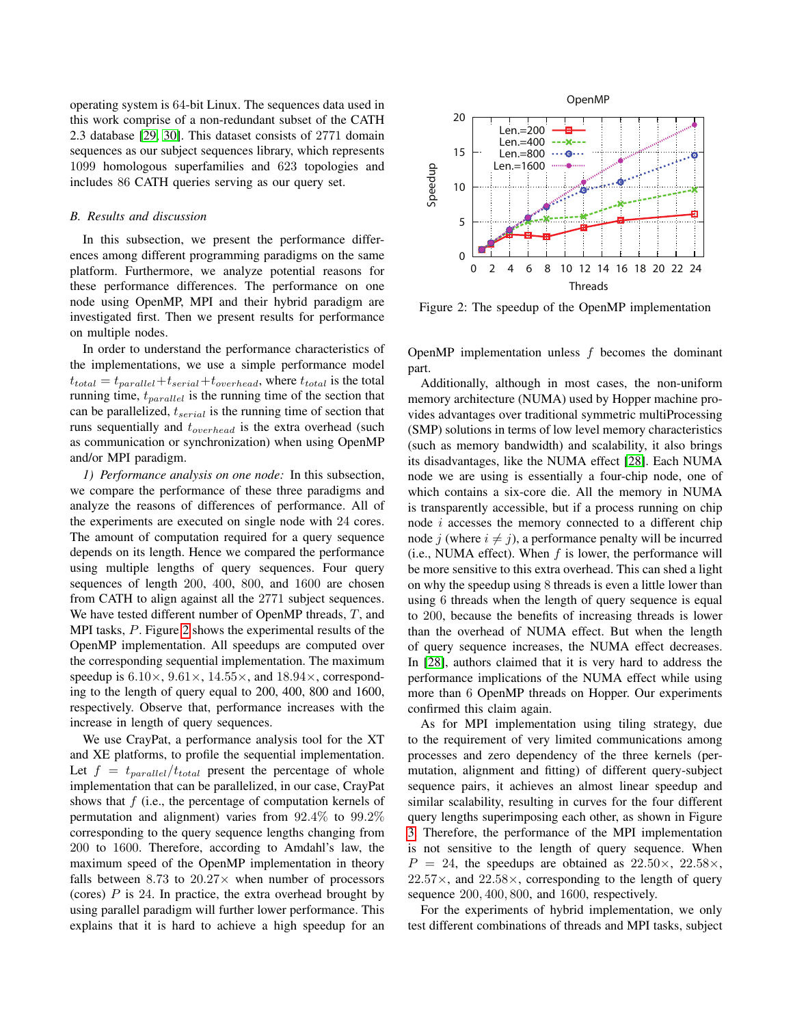operating system is 64-bit Linux. The sequences data used in this work comprise of a non-redundant subset of the CATH 2.3 database [\[29,](#page-7-9) [30\]](#page-7-10). This dataset consists of 2771 domain sequences as our subject sequences library, which represents 1099 homologous superfamilies and 623 topologies and includes 86 CATH queries serving as our query set.

## *B. Results and discussion*

In this subsection, we present the performance differences among different programming paradigms on the same platform. Furthermore, we analyze potential reasons for these performance differences. The performance on one node using OpenMP, MPI and their hybrid paradigm are investigated first. Then we present results for performance on multiple nodes.

In order to understand the performance characteristics of the implementations, we use a simple performance model  $t_{total} = t_{parallel} + t_{serial} + t_{overhead}$ , where  $t_{total}$  is the total running time,  $t_{parallel}$  is the running time of the section that can be parallelized,  $t_{serial}$  is the running time of section that runs sequentially and  $t_{overhead}$  is the extra overhead (such as communication or synchronization) when using OpenMP and/or MPI paradigm.

*1) Performance analysis on one node:* In this subsection, we compare the performance of these three paradigms and analyze the reasons of differences of performance. All of the experiments are executed on single node with 24 cores. The amount of computation required for a query sequence depends on its length. Hence we compared the performance using multiple lengths of query sequences. Four query sequences of length 200, 400, 800, and 1600 are chosen from CATH to align against all the 2771 subject sequences. We have tested different number of OpenMP threads,  $T$ , and MPI tasks,  $P$ . Figure [2](#page-4-0) shows the experimental results of the OpenMP implementation. All speedups are computed over the corresponding sequential implementation. The maximum speedup is  $6.10 \times$ ,  $9.61 \times$ ,  $14.55 \times$ , and  $18.94 \times$ , corresponding to the length of query equal to 200, 400, 800 and 1600, respectively. Observe that, performance increases with the increase in length of query sequences.

We use CrayPat, a performance analysis tool for the XT and XE platforms, to profile the sequential implementation. Let  $f = t_{parallel}/t_{total}$  present the percentage of whole implementation that can be parallelized, in our case, CrayPat shows that  $f$  (i.e., the percentage of computation kernels of permutation and alignment) varies from 92.4% to 99.2% corresponding to the query sequence lengths changing from 200 to 1600. Therefore, according to Amdahl's law, the maximum speed of the OpenMP implementation in theory falls between 8.73 to  $20.27\times$  when number of processors (cores)  $P$  is 24. In practice, the extra overhead brought by using parallel paradigm will further lower performance. This explains that it is hard to achieve a high speedup for an

<span id="page-4-0"></span>

Figure 2: The speedup of the OpenMP implementation

OpenMP implementation unless  $f$  becomes the dominant part.

Additionally, although in most cases, the non-uniform memory architecture (NUMA) used by Hopper machine provides advantages over traditional symmetric multiProcessing (SMP) solutions in terms of low level memory characteristics (such as memory bandwidth) and scalability, it also brings its disadvantages, like the NUMA effect [\[28\]](#page-7-8). Each NUMA node we are using is essentially a four-chip node, one of which contains a six-core die. All the memory in NUMA is transparently accessible, but if a process running on chip node  $i$  accesses the memory connected to a different chip node *j* (where  $i \neq j$ ), a performance penalty will be incurred (i.e., NUMA effect). When  $f$  is lower, the performance will be more sensitive to this extra overhead. This can shed a light on why the speedup using 8 threads is even a little lower than using 6 threads when the length of query sequence is equal to 200, because the benefits of increasing threads is lower than the overhead of NUMA effect. But when the length of query sequence increases, the NUMA effect decreases. In [\[28\]](#page-7-8), authors claimed that it is very hard to address the performance implications of the NUMA effect while using more than 6 OpenMP threads on Hopper. Our experiments confirmed this claim again.

As for MPI implementation using tiling strategy, due to the requirement of very limited communications among processes and zero dependency of the three kernels (permutation, alignment and fitting) of different query-subject sequence pairs, it achieves an almost linear speedup and similar scalability, resulting in curves for the four different query lengths superimposing each other, as shown in Figure [3.](#page-5-0) Therefore, the performance of the MPI implementation is not sensitive to the length of query sequence. When  $P = 24$ , the speedups are obtained as  $22.50\times$ ,  $22.58\times$ ,  $22.57\times$ , and  $22.58\times$ , corresponding to the length of query sequence 200, 400, 800, and 1600, respectively.

For the experiments of hybrid implementation, we only test different combinations of threads and MPI tasks, subject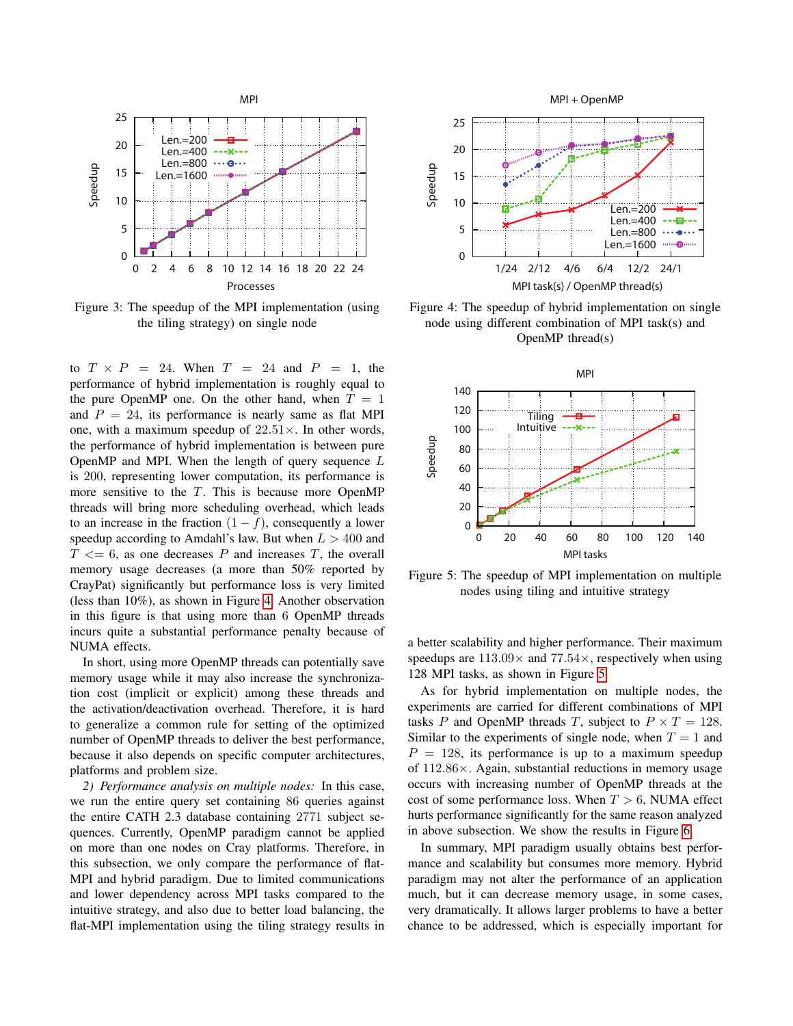<span id="page-5-0"></span>

Figure 3: The speedup of the MPI implementation (using the tiling strategy) on single node

to  $T \times P = 24$ . When  $T = 24$  and  $P = 1$ , the performance of hybrid implementation is roughly equal to the pure OpenMP one. On the other hand, when  $T = 1$ and  $P = 24$ , its performance is nearly same as flat MPI one, with a maximum speedup of  $22.51\times$ . In other words, the performance of hybrid implementation is between pure OpenMP and MPI. When the length of query sequence  $L$ is 200, representing lower computation, its performance is more sensitive to the  $T$ . This is because more OpenMP threads will bring more scheduling overhead, which leads to an increase in the fraction  $(1 - f)$ , consequently a lower speedup according to Amdahl's law. But when  $L > 400$  and  $T \leq 6$ , as one decreases P and increases T, the overall memory usage decreases (a more than 50% reported by CrayPat) significantly but performance loss is very limited (less than 10%), as shown in Figure [4.](#page-5-1) Another observation in this figure is that using more than 6 OpenMP threads incurs quite a substantial performance penalty because of NUMA effects.

In short, using more OpenMP threads can potentially save memory usage while it may also increase the synchronization cost (implicit or explicit) among these threads and the activation/deactivation overhead. Therefore, it is hard to generalize a common rule for setting of the optimized number of OpenMP threads to deliver the best performance, because it also depends on specific computer architectures, platforms and problem size.

*2) Performance analysis on multiple nodes:* In this case, we run the entire query set containing 86 queries against the entire CATH 2.3 database containing 2771 subject sequences. Currently, OpenMP paradigm cannot be applied on more than one nodes on Cray platforms. Therefore, in this subsection, we only compare the performance of flat-MPI and hybrid paradigm. Due to limited communications and lower dependency across MPI tasks compared to the intuitive strategy, and also due to better load balancing, the flat-MPI implementation using the tiling strategy results in

<span id="page-5-1"></span>

Figure 4: The speedup of hybrid implementation on single node using different combination of MPI task(s) and OpenMP thread(s)

<span id="page-5-2"></span>

Figure 5: The speedup of MPI implementation on multiple nodes using tiling and intuitive strategy

a better scalability and higher performance. Their maximum speedups are  $113.09\times$  and  $77.54\times$ , respectively when using 128 MPI tasks, as shown in Figure [5.](#page-5-2)

As for hybrid implementation on multiple nodes, the experiments are carried for different combinations of MPI tasks P and OpenMP threads T, subject to  $P \times T = 128$ . Similar to the experiments of single node, when  $T = 1$  and  $P = 128$ , its performance is up to a maximum speedup of  $112.86\times$ . Again, substantial reductions in memory usage occurs with increasing number of OpenMP threads at the cost of some performance loss. When  $T > 6$ , NUMA effect hurts performance significantly for the same reason analyzed in above subsection. We show the results in Figure [6.](#page-6-15)

In summary, MPI paradigm usually obtains best performance and scalability but consumes more memory. Hybrid paradigm may not alter the performance of an application much, but it can decrease memory usage, in some cases, very dramatically. It allows larger problems to have a better chance to be addressed, which is especially important for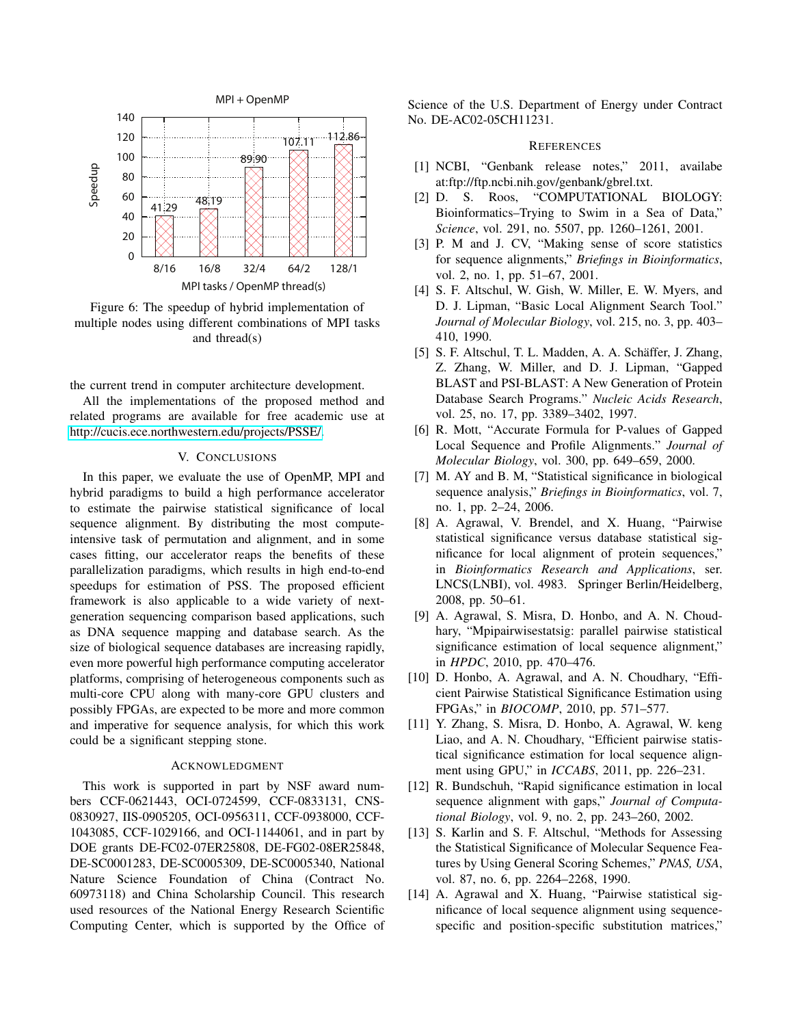<span id="page-6-15"></span>

Figure 6: The speedup of hybrid implementation of multiple nodes using different combinations of MPI tasks and thread(s)

the current trend in computer architecture development.

All the implementations of the proposed method and related programs are available for free academic use at [http://cucis.ece.northwestern.edu/projects/PSSE/.](http://cucis.ece.northwestern.edu/projects/PSSE/)

# V. CONCLUSIONS

<span id="page-6-11"></span>In this paper, we evaluate the use of OpenMP, MPI and hybrid paradigms to build a high performance accelerator to estimate the pairwise statistical significance of local sequence alignment. By distributing the most computeintensive task of permutation and alignment, and in some cases fitting, our accelerator reaps the benefits of these parallelization paradigms, which results in high end-to-end speedups for estimation of PSS. The proposed efficient framework is also applicable to a wide variety of nextgeneration sequencing comparison based applications, such as DNA sequence mapping and database search. As the size of biological sequence databases are increasing rapidly, even more powerful high performance computing accelerator platforms, comprising of heterogeneous components such as multi-core CPU along with many-core GPU clusters and possibly FPGAs, are expected to be more and more common and imperative for sequence analysis, for which this work could be a significant stepping stone.

#### ACKNOWLEDGMENT

This work is supported in part by NSF award numbers CCF-0621443, OCI-0724599, CCF-0833131, CNS-0830927, IIS-0905205, OCI-0956311, CCF-0938000, CCF-1043085, CCF-1029166, and OCI-1144061, and in part by DOE grants DE-FC02-07ER25808, DE-FG02-08ER25848, DE-SC0001283, DE-SC0005309, DE-SC0005340, National Nature Science Foundation of China (Contract No. 60973118) and China Scholarship Council. This research used resources of the National Energy Research Scientific Computing Center, which is supported by the Office of Science of the U.S. Department of Energy under Contract No. DE-AC02-05CH11231.

#### **REFERENCES**

- <span id="page-6-0"></span>[1] NCBI, "Genbank release notes," 2011, availabe at:ftp://ftp.ncbi.nih.gov/genbank/gbrel.txt.
- <span id="page-6-1"></span>[2] D. S. Roos, "COMPUTATIONAL BIOLOGY: Bioinformatics–Trying to Swim in a Sea of Data," *Science*, vol. 291, no. 5507, pp. 1260–1261, 2001.
- <span id="page-6-2"></span>[3] P. M and J. CV, "Making sense of score statistics for sequence alignments," *Briefings in Bioinformatics*, vol. 2, no. 1, pp. 51–67, 2001.
- <span id="page-6-3"></span>[4] S. F. Altschul, W. Gish, W. Miller, E. W. Myers, and D. J. Lipman, "Basic Local Alignment Search Tool." *Journal of Molecular Biology*, vol. 215, no. 3, pp. 403– 410, 1990.
- <span id="page-6-4"></span>[5] S. F. Altschul, T. L. Madden, A. A. Schäffer, J. Zhang, Z. Zhang, W. Miller, and D. J. Lipman, "Gapped BLAST and PSI-BLAST: A New Generation of Protein Database Search Programs." *Nucleic Acids Research*, vol. 25, no. 17, pp. 3389–3402, 1997.
- <span id="page-6-5"></span>[6] R. Mott, "Accurate Formula for P-values of Gapped Local Sequence and Profile Alignments." *Journal of Molecular Biology*, vol. 300, pp. 649–659, 2000.
- <span id="page-6-6"></span>[7] M. AY and B. M, "Statistical significance in biological sequence analysis," *Briefings in Bioinformatics*, vol. 7, no. 1, pp. 2–24, 2006.
- <span id="page-6-7"></span>[8] A. Agrawal, V. Brendel, and X. Huang, "Pairwise statistical significance versus database statistical significance for local alignment of protein sequences," in *Bioinformatics Research and Applications*, ser. LNCS(LNBI), vol. 4983. Springer Berlin/Heidelberg, 2008, pp. 50–61.
- <span id="page-6-8"></span>[9] A. Agrawal, S. Misra, D. Honbo, and A. N. Choudhary, "Mpipairwisestatsig: parallel pairwise statistical significance estimation of local sequence alignment," in *HPDC*, 2010, pp. 470–476.
- <span id="page-6-9"></span>[10] D. Honbo, A. Agrawal, and A. N. Choudhary, "Efficient Pairwise Statistical Significance Estimation using FPGAs," in *BIOCOMP*, 2010, pp. 571–577.
- <span id="page-6-10"></span>[11] Y. Zhang, S. Misra, D. Honbo, A. Agrawal, W. keng Liao, and A. N. Choudhary, "Efficient pairwise statistical significance estimation for local sequence alignment using GPU," in *ICCABS*, 2011, pp. 226–231.
- <span id="page-6-12"></span>[12] R. Bundschuh, "Rapid significance estimation in local sequence alignment with gaps," *Journal of Computational Biology*, vol. 9, no. 2, pp. 243–260, 2002.
- <span id="page-6-13"></span>[13] S. Karlin and S. F. Altschul, "Methods for Assessing the Statistical Significance of Molecular Sequence Features by Using General Scoring Schemes," *PNAS, USA*, vol. 87, no. 6, pp. 2264–2268, 1990.
- <span id="page-6-14"></span>[14] A. Agrawal and X. Huang, "Pairwise statistical significance of local sequence alignment using sequencespecific and position-specific substitution matrices,"